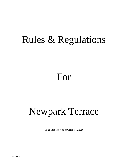# Rules & Regulations

# For

# Newpark Terrace

To go into effect as of October 7, 2016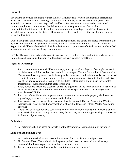## **Forward**

The general objectives and intent of these Rules & Regulations is to create and maintain a residential district characterized by the following: condominium dwellings, consistent architecture, consistent materials, consistent colors, well kept decks and balconies, Association owned and/or maintained common and limited common areas (as define in the recorded plat map and Declaration of Condominium), minimum vehicular traffic, minimum nuisances, and quiet conditions favorable to peaceful living. In general, the Rules & Regulations are designed to protect the use of units, common areas, and facilities.

Owners and guests shall comply with these Rules & Regulations, and others as adopted from time to time by the Condominium Management Committee, during use of the condominiums. No such Rules & Regulations shall be established which violate the intention or provisions of this document or which shall unreasonably restrict the use of any condominium.

**NOTE**: The governing party of the Association shall be referred to as the Condominium Management Committee and as such, its functions shall be described as is standard for HOA's.

# **Rights of Ownership**

- 1. Each condominium owner shall have and enjoy the rights and privileges of fee simple ownership of his/her condominium as described in the future Newpark Terrace Declaration of Condominium. The patio and balcony areas outside the originally constructed condominium walls shall be treated as limited common area for use purposes. Each condominium owner is entitled to the exclusive use of the limited common area subject to the Rules & Regulations and items in the recorded Declaration of Condominium that apply to this area.
- 2. Every owner has a right and easement of use and enjoyment in and to the common area subject to Newpark Terrace Declaration of Condominium and Newpark Owners Association (Master Association) CC&R's.
- 3. Each owner's family members, guests and/or tenants who reside on the property shall have the right of enjoyment of the common area and facilities.
- *4.* Landscaping shall be managed and maintained by the Newpark Owners Association (Master Association).No owner and/or Association is allowed to landscape without Master Association approval.
- 5. There shall be no requirements concerning who may own condominiums; it is intended that they may and shall be owned as any other property: by persons, corporations, partnerships, or trusts and in the form of joint tenancy.

## **Definitions**

 $\triangleright$  All definitions shall be based on Article 1 of the Declaration of Condominium of the project.

# **Land Use and Building Type**

- 1. No condominium shall be used except for residential and residential rental purposes.
- 2. No Business Uses: The lands within the property shall never be occupied or used for any commercial or business purpose other than residential rental.
- 3. Every condominium dwelling must have a minimum of a one-car garage.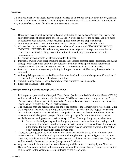#### **Nuisances**

No noxious, offensive or illegal activity shall be carried on in or upon any part of the Project, nor shall anything be done on or placed in or upon any part of the Project that is or may become a nuisance or may cause embarrassment, disturbance or annoyance to owners.

#### **Pets**

- 1. House pets may be kept by owners only, and are limited to two dogs and/or two house cats. The aggregate weight of pets is not to exceed 100 lbs. No pets are allowed to be bred. All pets must be registered with the HOA, which requires a photo of the pet and proper collar tag.
- 2. Non-owner occupied condominiums (i.e. guests or tenants) MAY NOT HAVE PETS.
- 3. All pets shall be contained or otherwise controlled at all times and shall be RESTRICTED TO TWO PER HOUSEHOLD. When in any common area, dogs must be kept on a leash, but not tethered and unattended. Dogs may not be left unattended in any common areas or limited common areas.
- 4. Pet owners are responsible for cleaning up after their pets.
- 5. Individual owners will be responsible to control their limited common areas (balconies, decks, and patios) so that dust, odor, and other pet nuisances do not become a problem for neighboring property owners. Fences and dog runs will not be allowed anywhere on the property.
- 6. Pets which cause an annoyance (including barking) or threat to neighbors may be required to be removed.
- 7. Animal privileges may be revoked immediately by the Condominium Management Committee if the owner does not adhere to the above restrictions.
- 8. Summit County Animal Control laws where more restrictive shall also apply.
- 9. Please see Schedule A for Fines.

#### **Overnight Parking, Vehicle Storage, and Restrictions**

- 1. Parking on properties within Newpark Town Center (as that term is defined in the Master CC&Rs) will be provided in accordance with the Master CC&Rs and may not be contiguous to the Project. The following rules are specifically applied to Newpark Terrace owners and use of the Newpark Town Center (includes the Project) parking areas.
- 2. The courtyard area and parking stalls are under the control of the Homeowner's Association. With the exception of the courtyard parking stalls, no parking is permitted in the Project's courtyard area or drive-ramp that provides vehicular and pedestrian access to the condominiums. Owners must park in their designated garages. If your unit's garage is full and there are no courtyard available, owners and guests must park in Newpark Town Center parking areas or elsewhere.
	- $\triangleright$  Due to the limited parking availability, garages must remain available for parking to unit occupants. If a garage is used for storage so as to prevent the occupant's car from parking in the garage for more than one month, violators may be subject to fines up to the cost of locally renting an equivalent-sized storage unit.
- 3. Courtyard parking stalls are available on a first-come, as available basis. A maximum of one exterior parking stall may be used by any unit, including both occupants and guests, at any given time. Any vehicle parked in the same exterior parking stall for more than seventy-two (72) hours will be towed at the owner's expense (except as in #7, below).
- 4. Any car parked in the courtyard area or drive-ramp shall be subject to towing by the Newpark Owners Association or the Condominium Management Committee at owner's expense, in addition to the charge for the violation assessment levied by the Association.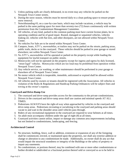- 5. Unless parking stalls are clearly delineated, in no event may any vehicles be parked on the Newpark Town Center streets.
- 6. During the snow season, vehicles must be moved daily to a clean parking space to ensure proper snow removal.
- 7. Notwithstanding #3, on a case-by-case basis, which may include vacations, a vehicle may be parked in the same parking space for more than seventy-two (72) hours continuously with written permission from the Condominium Management Committee.
- 8. All vehicles, of any kind, parked in the common parking must have current license plates, be in operating condition and be of good repair. Rusted, damaged or unpainted vehicles, vehicles leaking oil, vehicles with flat tires, and other disrepairs, are not allowed within Newpark Town Center.
- 9. No vehicles For Sale are to be stored within Newpark Town Center.
- 10. Campers, boats, ATV's, snowmobiles, or trailers may not be parked on the streets, parking areas, public trails, decks or in the courtyard. These vehicles should be parked in your garage or stored elsewhere; not within Newpark Town Center.
- 11. No ATV's, snowmobiles will be operated or parked on the property except while loading the equipment for lawful transport on public streets.
- 12. Motorcycles will not be operated on the property except for ingress and egress by duly licensed, "street legal" vehicles. Motorcycles which are too loud may be prohibited from operation within Newpark Town Center.
- 13. Any vehicle service, car washing, or other maintenance should be performed in your garage or elsewhere off of Newpark Town Center.
- 14. No motor vehicle which is inoperable, immobile, unlicensed or expired shall be allowed within Newpark Town Center.
- 15. All vehicles used by owners or tenants should be registered with the Association. All vehicles in violation of the Rules & Regulations and Handicap Parking Ordinances will be subject fines and towing at the owner's expense.

# **Courtyard and Drive-Ramp Use**

- 1. The courtyard and drive-ramp provides access for the community to the private condominiums.
- 2. Drivers in the courtyard and drive-ramp areas shall use caution and minimal speeds AT ALL TIMES.
- 3. Pedestrians ALWAYS have the right-of-way when approached by vehicles in the courtyard and drive-ramp areas. Pedestrians recreating or socializing in the courtyard and parking areas should vacate to and wait in the shoulder areas until vehicles pass through.
- 4. Riders of any recreational equipment in the courtyard are required to wear helmets at all times.
- 5. An adult must accompany children under the age of eight (8) at all times.
- 6. Courtyard activities cannot utilize, impact or damage any common area improvements including but not limited to condominiums, landscaping, and fencing.

## **Architectural Control**

- 1. No structure, building, fence, wall or addition, extension or expansion of any of the foregoing shall be commenced, erected, or maintained upon the properties, nor shall any exterior addition or change or alteration to any condominium be made. Additionally, no owner shall do any act that would impair the structural soundness or integrity of the Buildings or the safety of property or impair any easements.
- 2. No condominium, or portions thereof, may be combined with one or more other condominiums or further divided or subdivided or a fractional portion thereof sold or conveyed so as to be held in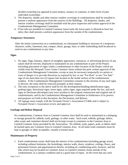divided ownership (as opposed to joint tenancy, tenancy in common, or other form of joint undivided ownership).

- 3. The draperies, shades and other interior window coverings in condominiums shall be installed to present a uniform appearance from the exterior of the Buildings. All draperies, shades, and interior window coverings shall be installed with the prior inspection and written approval of the Condominium Management Committee.
- 4. If hot tubs are installed in Limited Common Areas (only the lower patio is allowed to have hot tubs), they shall present a uniform appearance from the outside of the condominium.

#### **Temporary Structures**

After the initial construction on a condominium, no subsequent building or structure of a temporary character, trailer, basement, tent, camper, shack, garage, barn, or other outbuilding shall be placed or used on any condominium at any time.

#### **Signs**

- 1. No signs, flags, banners, objects of unsightly appearance, nuisances, or advertising devices of any nature shall be erected, displayed or maintained on any condominium or part of the Project (including placement of signs within a condominium or other location of the Project which are visible from the Newpark Town Center Common Areas without the prior written approval of the Condominium Management Committee, except as may be necessary temporarily to caution or warn of danger or to provide directions as required by law or one "For Rent" or one "For Sale" sign of not more than two (2) square feet located on the inside surface of the condominium window. If the Condominium Management Committee consents to the erection of any such signs or devices, the same shall be removed promptly at their request.
- 2. The only exceptions to the above shall be for the development/building identification signs, parking signs, directional signs, street signs, safety signs, signs required under the law, and such signs as Declarant (developer) may erect incident to the original construction and original sale of condominiums, and by the Condominium Management Committee in furtherance of its powers and purposes set forth in this document, the Declaration, and Bylaws.
- 3. All signage must comply with the Newpark Owner's Association CC&Rs and is subject to Newpark Owner's Association review and approval.

#### **Garbage and Refuse Disposal**

No condominium, Common Area or Limited Common Area shall be used or maintained as a dumping or storage ground for rubbish, trash, garbage, or other waste. Such trash, rubbish, garbage, debris, other waste and containers thereof shall not be kept except in containers in the Common Area or Limited Common Areas provided by the Association. No rubbish, trash, papers, junk, or debris shall be burned upon any Common Area or Limited Common Area. At all times trash containers must be kept in garages or other acceptable, visually screened areas.

#### **Maintenance of Property**

1. Each condominium owner shall keep the interior of his condominium (including garage areas), including without limitation, the furnishings, interior walls, doors, windows, ceilings, floors, and permanent fixtures and appurtenances thereto, including air conditioning units, furnaces, and hot tubs which may be located on Common Areas or Limited Common Areas outside of the condominium, in a sanitary condition and in a good state of repair. In the event that any such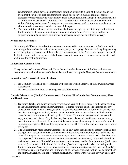condominium should develop an unsanitary condition or fall into a state of disrepair and in the event that the owner of such condominium should fail to correct such condition or state of disrepair promptly following written notice from the Condominium Management Committee, the Condominium Management Committee shall have the right, at the expense of the owner and without liability to the owner for trespass or otherwise, to enter said condominium and correct or eliminate said unsanitary condition or state of disrepair.

2. The Condominium Management Committee shall have the right to enter into any condominium for the purpose of cleaning, maintenance, repairs, including emergency repairs, and for the purpose of abating a nuisance, or a known or suspected dangerous or unlawful activity.

#### **No Hazardous Activities**

No activity shall be conducted or improvements constructed in or upon any part of the Project which are or might be unsafe or hazardous to any person, party, or property. Without limiting the generality of the foregoing, no firearms shall be discharged upon any part of the Project, and no open fires shall be lighted or permitted on any part of the Project except in a contained barbecue unit while attended and in use for cooking purposes.

#### **Landscaped Common Area**

Every landscaped portion of Newpark Town Center is under the control of the Newpark Owners Association and all maintenance of this area is coordinated through the Newpark Owners Association.

#### **Re-contouring/Removal of Natural Foliage**

- 1. No Common Area shall be re-contoured without prior written approval of the Newpark Owners Association.
- 2. No trees, native shrubbery, or native grasses shall be removed.

#### **Outside Private Area (Limited Common Area)/ Building "Skin" and other Common Area; Uses and Restrictions**

- 1. Balconies, Decks, and Patios are highly visible, and as such they are subject to the close scrutiny of the Condominium Management Committee. Normal furniture and use is expected but any unusual use, noise, music, storage, or other nuisance is not permitted. Additionally, owners shall not place anything on any deck, patio or other Limited Common Areas that may block another owner's line of site across such deck, patio or Limited Common Areas so that all owners will enjoy unobstructed views. Only barbeques, live potted plants and live flowers, and customary deck furniture are allowed to the extent that the same do not obstruct any other owner's view of adjoining open space. Outdoor lighting must be turned off when not in use, and may not be left on overnight.
- 2. The Condominium Management Committee or its duly authorized agents or employees shall have the right, after reasonable notice to the owner, and from time to time without any liability to the owner for trespass or otherwise to enter upon any Limited Common Area at reasonable hours for the purpose (1) of removing any improvement constructed, reconstructed, refinished, altered, or maintained upon such Limited Common Area or private area outside of condominium (decks, skin materials) in violation of the future Declaration, (2) of restoring or otherwise reinstating such Limited Common Areas or private area outside the condominium (decks, skin materials), and (3) of otherwise enforcing without any limitation, all of the restrictions set forth in this document and the future Declaration. No improvement, excavation, or other work which in any way alters any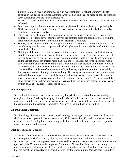Limited Common Area (including decks, skin materials) from its natural or improved state existing on the date such Limited Common Area was first sold shall be made or done except upon strict compliance with the future Declaration.

- 3. Decks: The decks and hot tub areas shall be constructed by Declarant (Builder). No decks may be enlarged.
- 4. With the exception of pre-fabricated, stand-alone planters, individual planting or gardening is NOT permitted in the Limited Common Areas. No fences, hedges or walls shall be erected or maintained upon any property.
- 5. There shall be no obstruction of the common areas and facilities by any owner. Owners shall neither store nor leave any of their property in the common areas and facilities, except with the prior written consent of the Condominium Management Committee.
- 6. Holiday lights and decorations are only permitted from November  $15<sup>th</sup>$  through January  $31<sup>st</sup>$ . A tasteful entry area decoration is permitted and all lights seen from outside the condominium must be white in color.
- 7. Nothing shall be done or kept in any condominium or in the common areas and facilities or any part thereof that would result in cancellation of the insurance on the Project or any part thereof, nor shall anything be done or kept in any condominium that would increase the rate of insurance on the Project or any part thereof more than what the Association, but for such activity, would pay, without the prior written consent of the Condominium Management Committee. Nothing shall be done or kept in any condominium or in the common areas and facilities or any part thereof that would be in violation of any statute or rule, ordinance, regulation, permit or other validly imposed requirement of any governmental body. No damage to, or waste of, the common areas and facilities or any part thereof shall be committed by any owner or guest, lessee, licensee, or invitee of any owner, and each owner shall indemnify, defend and hold the Association and the other owners harmless from and against all loss resulting from any such damage or waste caused by him or his guests, lessees, licensees, or invitees.

#### **External Apparatus**

No condominium owner shall cause or permit anything (including, without limitation, awnings, canopies or shutters) to hang, be displayed or otherwise affixed to or placed on the exterior walls or roof or any part thereof, or on the outside of windows or doors, without the prior written consent of the Condominium Management Committee. No sheds or outbuildings are permitted.

#### **Oil and Mining Operations**

No oil drilling, oil development operations, oil refining, quarrying or mining operations of any kind shall be permitted upon or in the properties of any Unit. No derrick, lift, shaft, or other structure designed for use in boring for oil or natural gas shall be erected, maintained or permitted upon the properties or any condominium.

#### **Satellite Dishes and Antennas**

No exterior radio antennas, or satellite dishes except satellite dishes which shall not exceed 18" in diameter, per unit, shall be placed, allowed, or maintained upon any condominium or upon any structure or portion of the improvements situated and located upon the properties without prior written approval of the Condominium Management Committee. No satellite dishes, antennas or any apparatus of any kind may be installed on the decks or building exterior. Satellite dishes installed on the roof must be approved (equipment and location) by the Condominium Management Committee.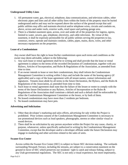#### **Underground Utility Lines**

- 1. All permanent water, gas, electrical, telephone, data communications, and television cables, other electronic pipes and lines and all other utility lines within the limits of the property must be buried underground and/or and may not be exposed above the surface of the ground except that said public utilities may affix and maintain electrical and/or telephone wires, circuits and conduits on, above, across and under roofs, exterior walls, retail space and parking garage area.
- 2. There is a blanket easement upon, across, over and under all of the properties for ingress, egress, limited to water, sewers, gas, telephone, electricity, and cable television. By virtue of this easement, it shall be expressly permissible for all public utilities serving the properties to lay, construct, renew, operate and maintain conduits, cables, pipes, mains, ducts, wires, and other necessary equipment on the properties.

#### **Lease of a Condominium**

Any owner shall have the right to lease his/her condominium upon such terms and conditions as the owner may deem advisable, subject to the following:

- 1. Any such lease or rental agreement shall be in writing and shall provide that the lease or rental agreement is subject to the terms of the recorded Declaration of Condominium, together with any Bylaws, Articles of Incorporation, and Rules & Regulations of the Association, as amended from time to time.
- 2. If an owner intends to lease or rent their condominium, they shall inform the Condominium Management Committee in writing within 5 days and include the name of the leasing agency (if applicable) and a copy of the lease agreement with all tenant names, contact information and signatures. Tenants must abide by all terms in the future Declaration, the Bylaws, and the Rules & Regulations of the Association, as amended from time to time.
- 3. Such lease or rental agreement shall state that the failure of the lessee or renter to comply with the terms of the future Declaration or any Bylaws, Articles of Incorporation or the Rules & Regulations of the Association shall constitute a default and such a default shall be enforceable by either the Condominium Management Committee or the lessor, or by both of them.
- 4. No leased condominium may have more than 2 residents per bedroom.
- 5. No leased condominium may have pets.

#### **Advertising and Solicitation**

- 1. Other than developer's marketing and sales efforts, advertising for sale within the Project is prohibited. Prior written consent of the Condominium Management Committee is necessary to use promotional devices such as loud speakers, phonographs, stereos or other similar visual or sound devices.
- 2. There shall be no solicitation by any person anywhere within the Project for any cause, charity, or purpose, whatsoever, unless specifically authorized in writing by the Condominium Management Committee, except that the developer and/or a developer affiliate under the future Declaration may engage in marketing and other activities related to the sales of units.

#### **Swaner Eco Center**

Access within the Swaner Eco Center (SEC) is subject to future SEC decision making. The wetlands surrounding Newpark Terrace, including the streams, are subject to a conservation easement on the ground in favor of SEC which preserves our residents' right to catch and release fishing, subject to any Utah governmental regulations. The SEC is not only a visual experience, but more importantly,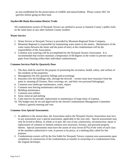an area established for the preservation of wildlife and natural habitat. Please contact SEC for specifics before going on their land.

#### **Snyderville Basin Recreation District Trails**

All condominium owners of Newpark Terrace are entitled to access to Summit County's public trails on the same basis as any other Summit County resident.

#### **Water Service**

- 1. Water Service to Newpark Terrace is provided by Mountain Regional Water Company.
- 2. Mountain Regional is responsible for maintaining water mains to the meters. Maintenance of the water mains between the meter and the point-of-entry at the condominium will be the responsibility of the Association.
- 3. Common area watering will be accomplished by the Newpark Owners Association. It is recommended that owners maintain a temperature of 60 degrees in the winter to prevent water pipes from freezing within their individual condominiums.

#### **Common Services Paid by Quarterly Dues**

- 1. The dues shall be used for the purpose of promoting the recreation, health, safety, and welfare of the residents of the properties.
- 2. Management Fee (for quarterly billings and accounting)
- 3. Insurance (for the buildings only, through the drywall owners must have insurance from the paint in, meaning all fixtures, floor coverings, etc. and their own personal belongings)
- 4. Common area landscape maintenance, water, repairs
- 5. Common area fencing maintenance and repair
- 6. Building maintenance
- 7. Common area utilities
- 8. Snow removal and melting
- 9. Cash reserves for periodic replacement or maintenance of large items of expense.
- 10. The budget may be set and approved by the elected Condominium Management Committee without a general meeting and vote.

#### **Common Area Special Assessments**

- 1. In addition to the annual dues, the Association and/or the Newpark Owners Association may levy in any assessment year a special assessment, applicable to the year only. Special assessments may only be levied to defray, in whole or in part, the cost of any construction, reconstruction, repair or replacement of common or limited common area structures, fixtures, and personal property thereto. Special assessments must have the assent of sixty seven (67%) of the votes of each class of the members authorized to vote, in person or by proxy, at a meeting duly called for this purpose.
- 2. Condominium owners will be the first liable for Newpark Terrace common area assessments upon completion of construction of the condominium or transfer in ownership of a condominium from the original developer.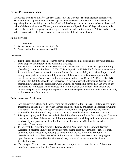#### **Payment/Delinquency Policy**

HOA Fees are due on the 1<sup>st</sup> of January, April, July and October. The management company will send a reminder approximately two weeks prior to the due date, but please mark your calendars regarding this responsibility. A late fee of \$50 will be charged to any account that has not been paid within 30 days, and another \$50 every month thereafter, until paid. After 90 days delinquent, a lien will be placed on the property and attorney's fees will be added to the account. All fees and expenses related to collection of HOA fees are the responsibility of the delinquent owner.

#### **Public Services**

- 1. Trash removal
- 2. Water mains, but not water service/bills
- 3. Sewer mains, but not sewer service/bills

#### **Insurance**

- 1. It is the responsibility of each owner to provide insurance on his personal property and upon all other property and improvements within his dwelling.
- 2. Pursuant to the future Declaration, condominium owners must also have Coverage A Building (Dwelling) insurance of at least \$20,000: This policy will be PRIMARY for losses that emanate from within an Owner's unit or from items that are their responsibility to repair and replace, such as any damage done to another unit by any fault of the owner or broken water pipe or other disaster in the owner's unit. All condominium owners shall have COVERAGE A BUILDING insurance for \$20,000 added to their individual Owners policies. If a Residential Owner fails to maintain insurance, such Residential Owner will still be responsible for the first \$10,000 on any claim arising from losses which emanate from within his/her Unit or from items that are the Owner's responsibility to repair or replace, as well as be responsible for any deductibles that apply to the Association's insurance.

#### **Enforcement and Arbitration**

- 1. Any controversy, claim, or dispute arising out of or related to the Rules & Regulations, the future Declaration, and By-Laws, or breach thereof, shall be settled by arbitration in accordance with the Arbitration Rules of the American Arbitration Association, and judgment upon the reward rendered by the arbitrator(s) may be entered in any court of law having jurisdiction thereof.
- 2. It is agreed by any and all parties to the Rules & Regulations, the future Declaration, and By-Laws that any and all fees of the American Arbitration Association shall be paid in advance, on a prorata basis by the parties to such arbitration, or at such time as specified by the American Arbitration Association.
- 3. In the event that either the Newpark Terrace Owners Association or the Newpark Owners Association becomes involved in any controversy, claim, dispute, regardless of cause, it shall attempt to avoid litigation by agreeing to settle through the use of binding arbitration in accordance with the Arbitration Rules of the American Arbitration Association and judgment upon the reward rendered by the arbitrator(s) may be entered in any court of law having jurisdiction thereof.
- 4. The Newpark Terrace Owners Association shall attempt to incorporate this same Arbitration paragraph into any contract the Association may enter.